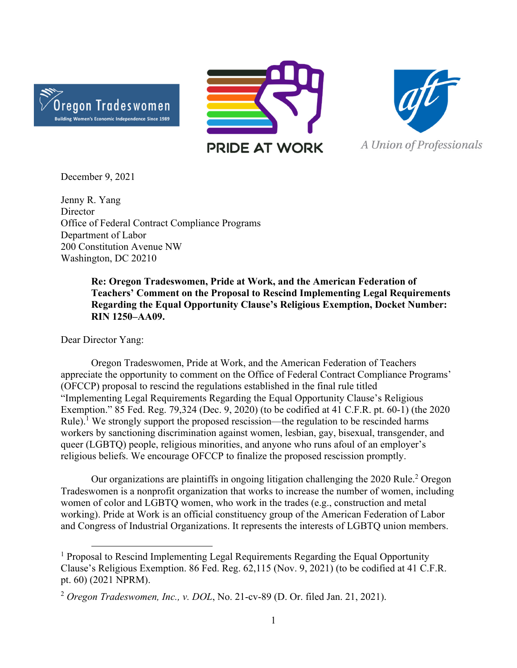





December 9, 2021

Jenny R. Yang **Director** Office of Federal Contract Compliance Programs Department of Labor 200 Constitution Avenue NW Washington, DC 20210

> **Re: Oregon Tradeswomen, Pride at Work, and the American Federation of Teachers' Comment on the Proposal to Rescind Implementing Legal Requirements Regarding the Equal Opportunity Clause's Religious Exemption, Docket Number: RIN 1250–AA09.**

Dear Director Yang:

 Oregon Tradeswomen, Pride at Work, and the American Federation of Teachers appreciate the opportunity to comment on the Office of Federal Contract Compliance Programs' (OFCCP) proposal to rescind the regulations established in the final rule titled "Implementing Legal Requirements Regarding the Equal Opportunity Clause's Religious Exemption." 85 Fed. Reg. 79,324 (Dec. 9, 2020) (to be codified at 41 C.F.R. pt. 60-1) (the 2020 Rule).<sup>1</sup> We strongly support the proposed rescission—the regulation to be rescinded harms workers by sanctioning discrimination against women, lesbian, gay, bisexual, transgender, and queer (LGBTQ) people, religious minorities, and anyone who runs afoul of an employer's religious beliefs. We encourage OFCCP to finalize the proposed rescission promptly.

Our organizations are plaintiffs in ongoing litigation challenging the 2020 Rule.<sup>2</sup> Oregon Tradeswomen is a nonprofit organization that works to increase the number of women, including women of color and LGBTQ women, who work in the trades (e.g., construction and metal working). Pride at Work is an official constituency group of the American Federation of Labor and Congress of Industrial Organizations. It represents the interests of LGBTQ union members.

<sup>&</sup>lt;sup>1</sup> Proposal to Rescind Implementing Legal Requirements Regarding the Equal Opportunity Clause's Religious Exemption. 86 Fed. Reg. 62,115 (Nov. 9, 2021) (to be codified at 41 C.F.R. pt. 60) (2021 NPRM).

<sup>2</sup> *Oregon Tradeswomen, Inc., v. DOL*, No. 21-cv-89 (D. Or. filed Jan. 21, 2021).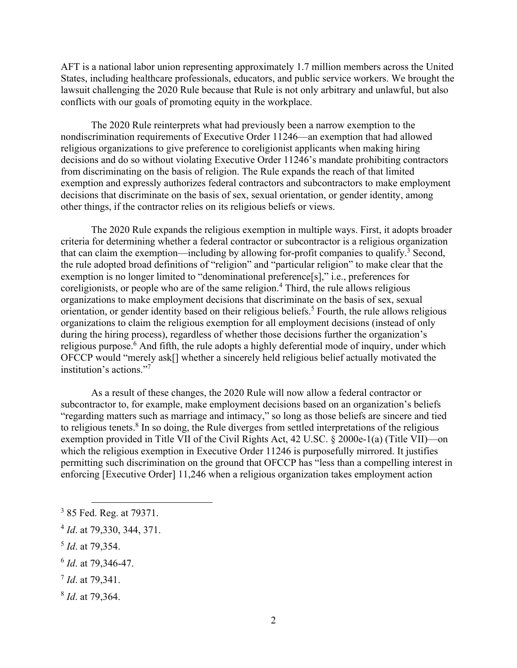AFT is a national labor union representing approximately 1.7 million members across the United States, including healthcare professionals, educators, and public service workers. We brought the lawsuit challenging the 2020 Rule because that Rule is not only arbitrary and unlawful, but also conflicts with our goals of promoting equity in the workplace.

 The 2020 Rule reinterprets what had previously been a narrow exemption to the nondiscrimination requirements of Executive Order 11246—an exemption that had allowed religious organizations to give preference to coreligionist applicants when making hiring decisions and do so without violating Executive Order 11246's mandate prohibiting contractors from discriminating on the basis of religion. The Rule expands the reach of that limited exemption and expressly authorizes federal contractors and subcontractors to make employment decisions that discriminate on the basis of sex, sexual orientation, or gender identity, among other things, if the contractor relies on its religious beliefs or views.

The 2020 Rule expands the religious exemption in multiple ways. First, it adopts broader criteria for determining whether a federal contractor or subcontractor is a religious organization that can claim the exemption—including by allowing for-profit companies to qualify.<sup>3</sup> Second, the rule adopted broad definitions of "religion" and "particular religion" to make clear that the exemption is no longer limited to "denominational preference[s]," i.e., preferences for coreligionists, or people who are of the same religion.<sup>4</sup> Third, the rule allows religious organizations to make employment decisions that discriminate on the basis of sex, sexual orientation, or gender identity based on their religious beliefs.<sup>5</sup> Fourth, the rule allows religious organizations to claim the religious exemption for all employment decisions (instead of only during the hiring process), regardless of whether those decisions further the organization's religious purpose.<sup>6</sup> And fifth, the rule adopts a highly deferential mode of inquiry, under which OFCCP would "merely ask[] whether a sincerely held religious belief actually motivated the institution's actions."7

As a result of these changes, the 2020 Rule will now allow a federal contractor or subcontractor to, for example, make employment decisions based on an organization's beliefs "regarding matters such as marriage and intimacy," so long as those beliefs are sincere and tied to religious tenets.<sup>8</sup> In so doing, the Rule diverges from settled interpretations of the religious exemption provided in Title VII of the Civil Rights Act, 42 U.SC. § 2000e-1(a) (Title VII)—on which the religious exemption in Executive Order 11246 is purposefully mirrored. It justifies permitting such discrimination on the ground that OFCCP has "less than a compelling interest in enforcing [Executive Order] 11,246 when a religious organization takes employment action

<sup>5</sup> *Id*. at 79,354.

<sup>7</sup> *Id*. at 79,341.

<sup>&</sup>lt;sup>3</sup> 85 Fed. Reg. at 79371.

<sup>4</sup> *Id*. at 79,330, 344, 371.

<sup>6</sup> *Id*. at 79,346-47.

<sup>8</sup> *Id*. at 79,364.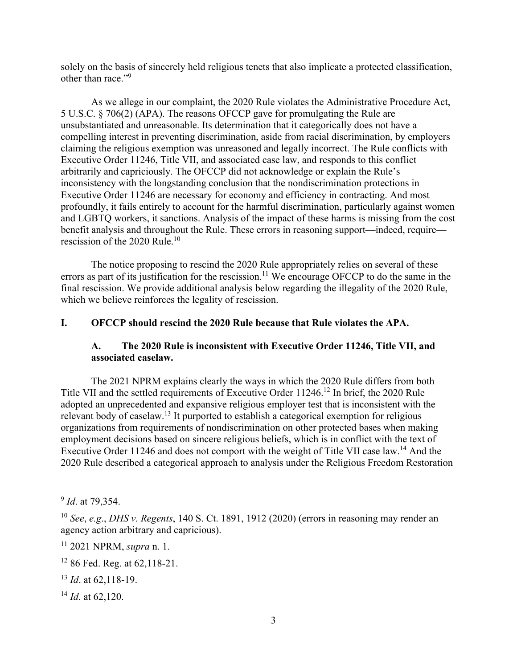solely on the basis of sincerely held religious tenets that also implicate a protected classification, other than race."<sup>9</sup>

 As we allege in our complaint, the 2020 Rule violates the Administrative Procedure Act, 5 U.S.C. § 706(2) (APA). The reasons OFCCP gave for promulgating the Rule are unsubstantiated and unreasonable. Its determination that it categorically does not have a compelling interest in preventing discrimination, aside from racial discrimination, by employers claiming the religious exemption was unreasoned and legally incorrect. The Rule conflicts with Executive Order 11246, Title VII, and associated case law, and responds to this conflict arbitrarily and capriciously. The OFCCP did not acknowledge or explain the Rule's inconsistency with the longstanding conclusion that the nondiscrimination protections in Executive Order 11246 are necessary for economy and efficiency in contracting. And most profoundly, it fails entirely to account for the harmful discrimination, particularly against women and LGBTQ workers, it sanctions. Analysis of the impact of these harms is missing from the cost benefit analysis and throughout the Rule. These errors in reasoning support—indeed, require rescission of the 2020 Rule.<sup>10</sup>

 The notice proposing to rescind the 2020 Rule appropriately relies on several of these errors as part of its justification for the rescission.<sup>11</sup> We encourage OFCCP to do the same in the final rescission. We provide additional analysis below regarding the illegality of the 2020 Rule, which we believe reinforces the legality of rescission.

#### **I. OFCCP should rescind the 2020 Rule because that Rule violates the APA.**

#### **A. The 2020 Rule is inconsistent with Executive Order 11246, Title VII, and associated caselaw.**

The 2021 NPRM explains clearly the ways in which the 2020 Rule differs from both Title VII and the settled requirements of Executive Order 11246.12 In brief, the 2020 Rule adopted an unprecedented and expansive religious employer test that is inconsistent with the relevant body of caselaw.13 It purported to establish a categorical exemption for religious organizations from requirements of nondiscrimination on other protected bases when making employment decisions based on sincere religious beliefs, which is in conflict with the text of Executive Order 11246 and does not comport with the weight of Title VII case law.<sup>14</sup> And the 2020 Rule described a categorical approach to analysis under the Religious Freedom Restoration

<sup>14</sup> *Id.* at 62,120.

<sup>9</sup> *Id*. at 79,354.

<sup>10</sup> *See*, *e.g*., *DHS v. Regents*, 140 S. Ct. 1891, 1912 (2020) (errors in reasoning may render an agency action arbitrary and capricious).

<sup>11 2021</sup> NPRM, *supra* n. 1.

<sup>12 86</sup> Fed. Reg. at 62,118-21.

<sup>13</sup> *Id*. at 62,118-19.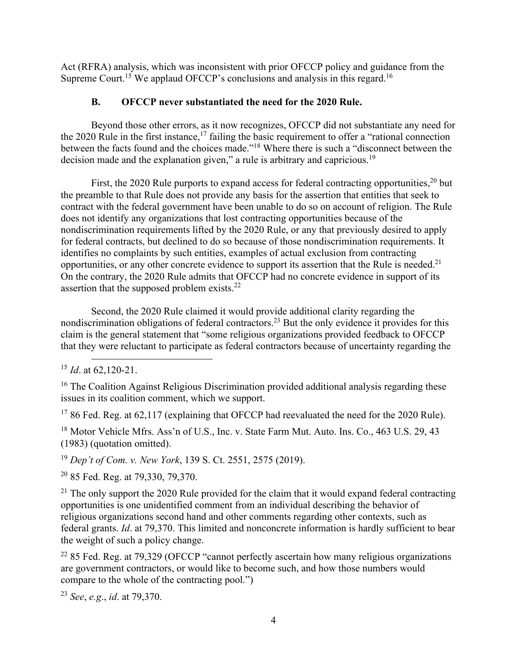Act (RFRA) analysis, which was inconsistent with prior OFCCP policy and guidance from the Supreme Court.<sup>15</sup> We applaud OFCCP's conclusions and analysis in this regard.<sup>16</sup>

### **B. OFCCP never substantiated the need for the 2020 Rule.**

Beyond those other errors, as it now recognizes, OFCCP did not substantiate any need for the 2020 Rule in the first instance,<sup>17</sup> failing the basic requirement to offer a "rational connection" between the facts found and the choices made."18 Where there is such a "disconnect between the decision made and the explanation given," a rule is arbitrary and capricious.<sup>19</sup>

First, the 2020 Rule purports to expand access for federal contracting opportunities,  $20$  but the preamble to that Rule does not provide any basis for the assertion that entities that seek to contract with the federal government have been unable to do so on account of religion. The Rule does not identify any organizations that lost contracting opportunities because of the nondiscrimination requirements lifted by the 2020 Rule, or any that previously desired to apply for federal contracts, but declined to do so because of those nondiscrimination requirements. It identifies no complaints by such entities, examples of actual exclusion from contracting opportunities, or any other concrete evidence to support its assertion that the Rule is needed.<sup>21</sup> On the contrary, the 2020 Rule admits that OFCCP had no concrete evidence in support of its assertion that the supposed problem exists.<sup>22</sup>

Second, the 2020 Rule claimed it would provide additional clarity regarding the nondiscrimination obligations of federal contractors.<sup>23</sup> But the only evidence it provides for this claim is the general statement that "some religious organizations provided feedback to OFCCP that they were reluctant to participate as federal contractors because of uncertainty regarding the

 $1786$  Fed. Reg. at 62,117 (explaining that OFCCP had reevaluated the need for the 2020 Rule).

<sup>18</sup> Motor Vehicle Mfrs. Ass'n of U.S., Inc. v. State Farm Mut. Auto. Ins. Co., 463 U.S. 29, 43 (1983) (quotation omitted).

<sup>19</sup> *Dep't of Com. v. New York*, 139 S. Ct. 2551, 2575 (2019).

20 85 Fed. Reg. at 79,330, 79,370.

 $21$  The only support the 2020 Rule provided for the claim that it would expand federal contracting opportunities is one unidentified comment from an individual describing the behavior of religious organizations second hand and other comments regarding other contexts, such as federal grants. *Id*. at 79,370. This limited and nonconcrete information is hardly sufficient to bear the weight of such a policy change.

 $22$  85 Fed. Reg. at 79,329 (OFCCP "cannot perfectly ascertain how many religious organizations are government contractors, or would like to become such, and how those numbers would compare to the whole of the contracting pool.")

<sup>23</sup> *See*, *e.g*., *id*. at 79,370.

<sup>15</sup> *Id*. at 62,120-21.

<sup>&</sup>lt;sup>16</sup> The Coalition Against Religious Discrimination provided additional analysis regarding these issues in its coalition comment, which we support.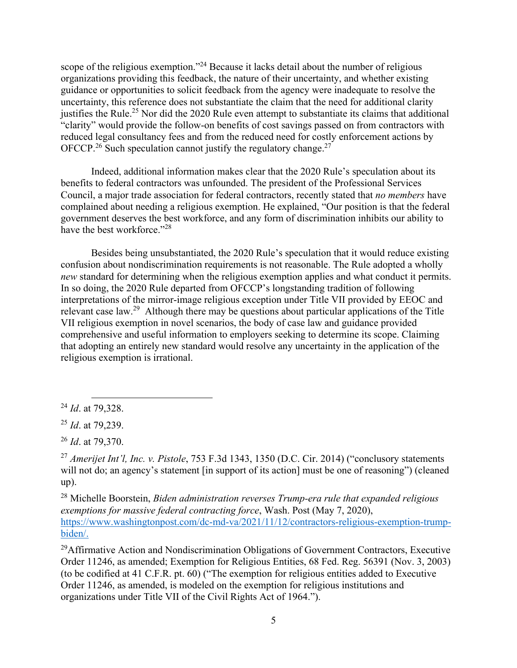scope of the religious exemption."<sup>24</sup> Because it lacks detail about the number of religious organizations providing this feedback, the nature of their uncertainty, and whether existing guidance or opportunities to solicit feedback from the agency were inadequate to resolve the uncertainty, this reference does not substantiate the claim that the need for additional clarity justifies the Rule.<sup>25</sup> Nor did the 2020 Rule even attempt to substantiate its claims that additional "clarity" would provide the follow-on benefits of cost savings passed on from contractors with reduced legal consultancy fees and from the reduced need for costly enforcement actions by OFCCP.<sup>26</sup> Such speculation cannot justify the regulatory change.<sup>27</sup>

Indeed, additional information makes clear that the 2020 Rule's speculation about its benefits to federal contractors was unfounded. The president of the Professional Services Council, a major trade association for federal contractors, recently stated that *no members* have complained about needing a religious exemption. He explained, "Our position is that the federal government deserves the best workforce, and any form of discrimination inhibits our ability to have the best workforce."<sup>28</sup>

Besides being unsubstantiated, the 2020 Rule's speculation that it would reduce existing confusion about nondiscrimination requirements is not reasonable. The Rule adopted a wholly *new* standard for determining when the religious exemption applies and what conduct it permits. In so doing, the 2020 Rule departed from OFCCP's longstanding tradition of following interpretations of the mirror-image religious exception under Title VII provided by EEOC and relevant case law.29 Although there may be questions about particular applications of the Title VII religious exemption in novel scenarios, the body of case law and guidance provided comprehensive and useful information to employers seeking to determine its scope. Claiming that adopting an entirely new standard would resolve any uncertainty in the application of the religious exemption is irrational.

 $^{29}$ Affirmative Action and Nondiscrimination Obligations of Government Contractors, Executive Order 11246, as amended; Exemption for Religious Entities, 68 Fed. Reg. 56391 (Nov. 3, 2003) (to be codified at 41 C.F.R. pt. 60) ("The exemption for religious entities added to Executive Order 11246, as amended, is modeled on the exemption for religious institutions and organizations under Title VII of the Civil Rights Act of 1964.").

<sup>24</sup> *Id*. at 79,328.

<sup>25</sup> *Id*. at 79,239.

<sup>26</sup> *Id*. at 79,370.

<sup>27</sup> *Amerijet Int'l, Inc. v. Pistole*, 753 F.3d 1343, 1350 (D.C. Cir. 2014) ("conclusory statements will not do; an agency's statement [in support of its action] must be one of reasoning") (cleaned up).

<sup>28</sup> Michelle Boorstein, *Biden administration reverses Trump-era rule that expanded religious exemptions for massive federal contracting force*, Wash. Post (May 7, 2020), https://www.washingtonpost.com/dc-md-va/2021/11/12/contractors-religious-exemption-trumpbiden/.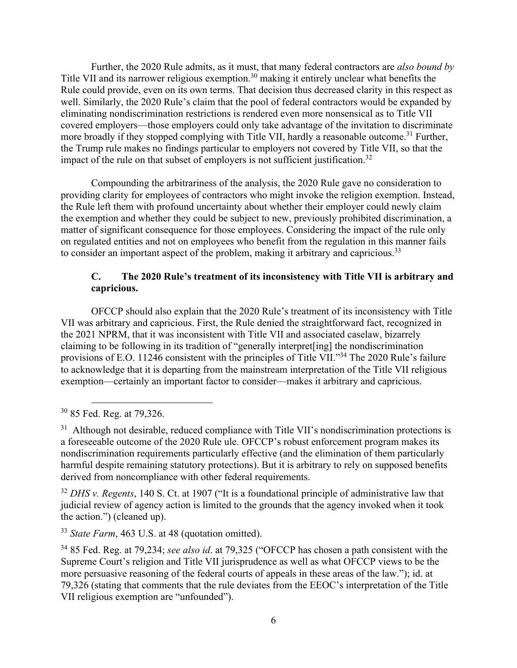Further, the 2020 Rule admits, as it must, that many federal contractors are *also bound by* Title VII and its narrower religious exemption.<sup>30</sup> making it entirely unclear what benefits the Rule could provide, even on its own terms. That decision thus decreased clarity in this respect as well. Similarly, the 2020 Rule's claim that the pool of federal contractors would be expanded by eliminating nondiscrimination restrictions is rendered even more nonsensical as to Title VII covered employers—those employers could only take advantage of the invitation to discriminate more broadly if they stopped complying with Title VII, hardly a reasonable outcome.<sup>31</sup> Further, the Trump rule makes no findings particular to employers not covered by Title VII, so that the impact of the rule on that subset of employers is not sufficient justification.<sup>32</sup>

Compounding the arbitrariness of the analysis, the 2020 Rule gave no consideration to providing clarity for employees of contractors who might invoke the religion exemption. Instead, the Rule left them with profound uncertainty about whether their employer could newly claim the exemption and whether they could be subject to new, previously prohibited discrimination, a matter of significant consequence for those employees. Considering the impact of the rule only on regulated entities and not on employees who benefit from the regulation in this manner fails to consider an important aspect of the problem, making it arbitrary and capricious.<sup>33</sup>

### **C. The 2020 Rule's treatment of its inconsistency with Title VII is arbitrary and capricious.**

OFCCP should also explain that the 2020 Rule's treatment of its inconsistency with Title VII was arbitrary and capricious. First, the Rule denied the straightforward fact, recognized in the 2021 NPRM, that it was inconsistent with Title VII and associated caselaw, bizarrely claiming to be following in its tradition of "generally interpret[ing] the nondiscrimination provisions of E.O. 11246 consistent with the principles of Title VII."34 The 2020 Rule's failure to acknowledge that it is departing from the mainstream interpretation of the Title VII religious exemption—certainly an important factor to consider—makes it arbitrary and capricious.

<sup>32</sup> *DHS v. Regents*, 140 S. Ct. at 1907 ("It is a foundational principle of administrative law that judicial review of agency action is limited to the grounds that the agency invoked when it took the action.") (cleaned up).

<sup>33</sup> *State Farm*, 463 U.S. at 48 (quotation omitted).

<sup>30 85</sup> Fed. Reg. at 79,326.

<sup>&</sup>lt;sup>31</sup> Although not desirable, reduced compliance with Title VII's nondiscrimination protections is a foreseeable outcome of the 2020 Rule ule. OFCCP's robust enforcement program makes its nondiscrimination requirements particularly effective (and the elimination of them particularly harmful despite remaining statutory protections). But it is arbitrary to rely on supposed benefits derived from noncompliance with other federal requirements.

<sup>34 85</sup> Fed. Reg. at 79,234; *see also id*. at 79,325 ("OFCCP has chosen a path consistent with the Supreme Court's religion and Title VII jurisprudence as well as what OFCCP views to be the more persuasive reasoning of the federal courts of appeals in these areas of the law."); id. at 79,326 (stating that comments that the rule deviates from the EEOC's interpretation of the Title VII religious exemption are "unfounded").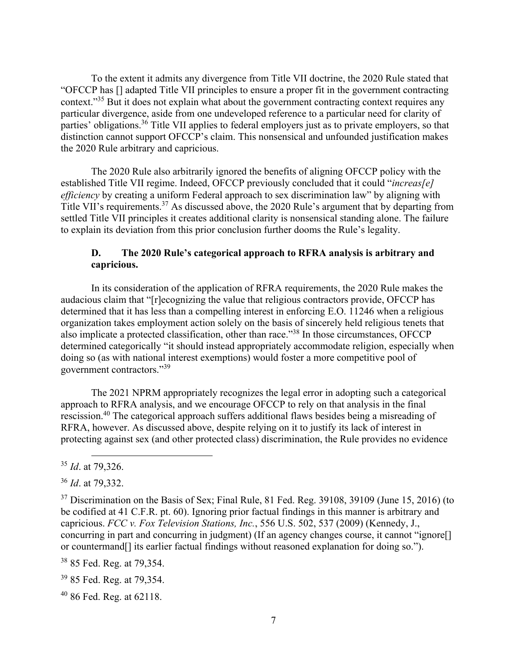To the extent it admits any divergence from Title VII doctrine, the 2020 Rule stated that "OFCCP has [] adapted Title VII principles to ensure a proper fit in the government contracting context."35 But it does not explain what about the government contracting context requires any particular divergence, aside from one undeveloped reference to a particular need for clarity of parties' obligations.<sup>36</sup> Title VII applies to federal employers just as to private employers, so that distinction cannot support OFCCP's claim. This nonsensical and unfounded justification makes the 2020 Rule arbitrary and capricious.

The 2020 Rule also arbitrarily ignored the benefits of aligning OFCCP policy with the established Title VII regime. Indeed, OFCCP previously concluded that it could "*increas[e] efficiency* by creating a uniform Federal approach to sex discrimination law" by aligning with Title VII's requirements.<sup>37</sup> As discussed above, the 2020 Rule's argument that by departing from settled Title VII principles it creates additional clarity is nonsensical standing alone. The failure to explain its deviation from this prior conclusion further dooms the Rule's legality.

#### **D. The 2020 Rule's categorical approach to RFRA analysis is arbitrary and capricious.**

In its consideration of the application of RFRA requirements, the 2020 Rule makes the audacious claim that "[r]ecognizing the value that religious contractors provide, OFCCP has determined that it has less than a compelling interest in enforcing E.O. 11246 when a religious organization takes employment action solely on the basis of sincerely held religious tenets that also implicate a protected classification, other than race."38 In those circumstances, OFCCP determined categorically "it should instead appropriately accommodate religion, especially when doing so (as with national interest exemptions) would foster a more competitive pool of government contractors."<sup>39</sup>

The 2021 NPRM appropriately recognizes the legal error in adopting such a categorical approach to RFRA analysis, and we encourage OFCCP to rely on that analysis in the final rescission.40 The categorical approach suffers additional flaws besides being a misreading of RFRA, however. As discussed above, despite relying on it to justify its lack of interest in protecting against sex (and other protected class) discrimination, the Rule provides no evidence

38 85 Fed. Reg. at 79,354.

39 85 Fed. Reg. at 79,354.

40 86 Fed. Reg. at 62118.

<sup>35</sup> *Id*. at 79,326.

<sup>36</sup> *Id*. at 79,332.

 $37$  Discrimination on the Basis of Sex; Final Rule, 81 Fed. Reg. 39108, 39109 (June 15, 2016) (to be codified at 41 C.F.R. pt. 60). Ignoring prior factual findings in this manner is arbitrary and capricious. *FCC v. Fox Television Stations, Inc.*, 556 U.S. 502, 537 (2009) (Kennedy, J., concurring in part and concurring in judgment) (If an agency changes course, it cannot "ignore[] or countermand[] its earlier factual findings without reasoned explanation for doing so.").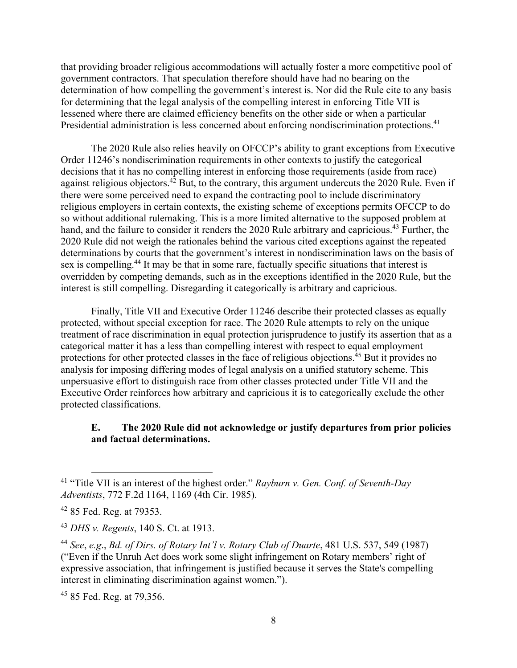that providing broader religious accommodations will actually foster a more competitive pool of government contractors. That speculation therefore should have had no bearing on the determination of how compelling the government's interest is. Nor did the Rule cite to any basis for determining that the legal analysis of the compelling interest in enforcing Title VII is lessened where there are claimed efficiency benefits on the other side or when a particular Presidential administration is less concerned about enforcing nondiscrimination protections.<sup>41</sup>

The 2020 Rule also relies heavily on OFCCP's ability to grant exceptions from Executive Order 11246's nondiscrimination requirements in other contexts to justify the categorical decisions that it has no compelling interest in enforcing those requirements (aside from race) against religious objectors.<sup>42</sup> But, to the contrary, this argument undercuts the 2020 Rule. Even if there were some perceived need to expand the contracting pool to include discriminatory religious employers in certain contexts, the existing scheme of exceptions permits OFCCP to do so without additional rulemaking. This is a more limited alternative to the supposed problem at hand, and the failure to consider it renders the 2020 Rule arbitrary and capricious.<sup>43</sup> Further, the 2020 Rule did not weigh the rationales behind the various cited exceptions against the repeated determinations by courts that the government's interest in nondiscrimination laws on the basis of sex is compelling.<sup>44</sup> It may be that in some rare, factually specific situations that interest is overridden by competing demands, such as in the exceptions identified in the 2020 Rule, but the interest is still compelling. Disregarding it categorically is arbitrary and capricious.

Finally, Title VII and Executive Order 11246 describe their protected classes as equally protected, without special exception for race. The 2020 Rule attempts to rely on the unique treatment of race discrimination in equal protection jurisprudence to justify its assertion that as a categorical matter it has a less than compelling interest with respect to equal employment protections for other protected classes in the face of religious objections.45 But it provides no analysis for imposing differing modes of legal analysis on a unified statutory scheme. This unpersuasive effort to distinguish race from other classes protected under Title VII and the Executive Order reinforces how arbitrary and capricious it is to categorically exclude the other protected classifications.

#### **E. The 2020 Rule did not acknowledge or justify departures from prior policies and factual determinations.**

<sup>45</sup> 85 Fed. Reg. at 79,356.

<sup>41 &</sup>quot;Title VII is an interest of the highest order." *Rayburn v. Gen. Conf. of Seventh-Day Adventists*, 772 F.2d 1164, 1169 (4th Cir. 1985).

<sup>42 85</sup> Fed. Reg. at 79353.

<sup>43</sup> *DHS v. Regents*, 140 S. Ct. at 1913.

<sup>44</sup> *See*, *e.g*., *Bd. of Dirs. of Rotary Int'l v. Rotary Club of Duarte*, 481 U.S. 537, 549 (1987) ("Even if the Unruh Act does work some slight infringement on Rotary members' right of expressive association, that infringement is justified because it serves the State's compelling interest in eliminating discrimination against women.").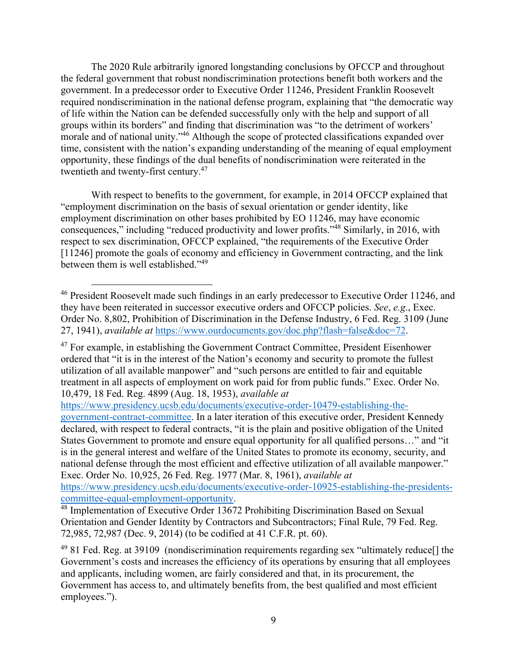The 2020 Rule arbitrarily ignored longstanding conclusions by OFCCP and throughout the federal government that robust nondiscrimination protections benefit both workers and the government. In a predecessor order to Executive Order 11246, President Franklin Roosevelt required nondiscrimination in the national defense program, explaining that "the democratic way of life within the Nation can be defended successfully only with the help and support of all groups within its borders" and finding that discrimination was "to the detriment of workers' morale and of national unity."<sup>46</sup> Although the scope of protected classifications expanded over time, consistent with the nation's expanding understanding of the meaning of equal employment opportunity, these findings of the dual benefits of nondiscrimination were reiterated in the twentieth and twenty-first century.<sup>47</sup>

With respect to benefits to the government, for example, in 2014 OFCCP explained that "employment discrimination on the basis of sexual orientation or gender identity, like employment discrimination on other bases prohibited by EO 11246, may have economic consequences," including "reduced productivity and lower profits."48 Similarly, in 2016, with respect to sex discrimination, OFCCP explained, "the requirements of the Executive Order [11246] promote the goals of economy and efficiency in Government contracting, and the link between them is well established."49

https://www.presidency.ucsb.edu/documents/executive-order-10479-establishing-the-

government-contract-committee. In a later iteration of this executive order, President Kennedy declared, with respect to federal contracts, "it is the plain and positive obligation of the United States Government to promote and ensure equal opportunity for all qualified persons…" and "it is in the general interest and welfare of the United States to promote its economy, security, and national defense through the most efficient and effective utilization of all available manpower." Exec. Order No. 10,925, 26 Fed. Reg. 1977 (Mar. 8, 1961), *available at*

https://www.presidency.ucsb.edu/documents/executive-order-10925-establishing-the-presidentscommittee-equal-employment-opportunity. 48 Implementation of Executive Order 13672 Prohibiting Discrimination Based on Sexual

<sup>&</sup>lt;sup>46</sup> President Roosevelt made such findings in an early predecessor to Executive Order 11246, and they have been reiterated in successor executive orders and OFCCP policies. *See*, *e.g*., Exec. Order No. 8,802, Prohibition of Discrimination in the Defense Industry, 6 Fed. Reg. 3109 (June 27, 1941), *available at* https://www.ourdocuments.gov/doc.php?flash=false&doc=72.

 $47$  For example, in establishing the Government Contract Committee, President Eisenhower ordered that "it is in the interest of the Nation's economy and security to promote the fullest utilization of all available manpower" and "such persons are entitled to fair and equitable treatment in all aspects of employment on work paid for from public funds." Exec. Order No. 10,479, 18 Fed. Reg. 4899 (Aug. 18, 1953), *available at*

Orientation and Gender Identity by Contractors and Subcontractors; Final Rule, 79 Fed. Reg. 72,985, 72,987 (Dec. 9, 2014) (to be codified at 41 C.F.R. pt. 60).

 $49$  81 Fed. Reg. at 39109 (nondiscrimination requirements regarding sex "ultimately reduce. The Government's costs and increases the efficiency of its operations by ensuring that all employees and applicants, including women, are fairly considered and that, in its procurement, the Government has access to, and ultimately benefits from, the best qualified and most efficient employees.").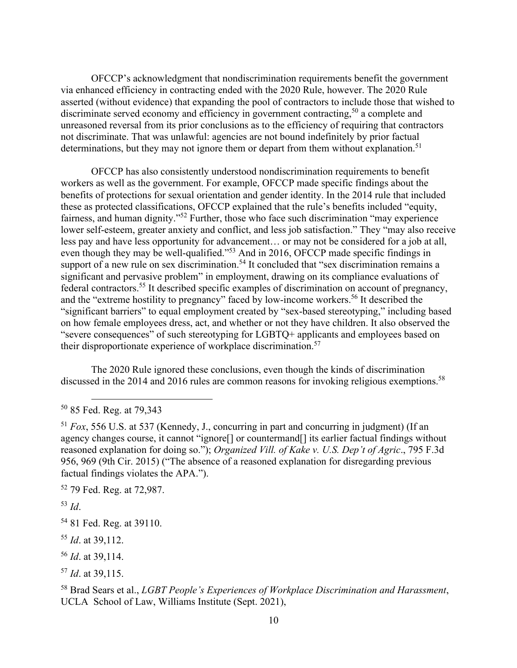OFCCP's acknowledgment that nondiscrimination requirements benefit the government via enhanced efficiency in contracting ended with the 2020 Rule, however. The 2020 Rule asserted (without evidence) that expanding the pool of contractors to include those that wished to discriminate served economy and efficiency in government contracting,<sup>50</sup> a complete and unreasoned reversal from its prior conclusions as to the efficiency of requiring that contractors not discriminate. That was unlawful: agencies are not bound indefinitely by prior factual determinations, but they may not ignore them or depart from them without explanation.<sup>51</sup>

OFCCP has also consistently understood nondiscrimination requirements to benefit workers as well as the government. For example, OFCCP made specific findings about the benefits of protections for sexual orientation and gender identity. In the 2014 rule that included these as protected classifications, OFCCP explained that the rule's benefits included "equity, fairness, and human dignity."<sup>52</sup> Further, those who face such discrimination "may experience lower self-esteem, greater anxiety and conflict, and less job satisfaction." They "may also receive less pay and have less opportunity for advancement… or may not be considered for a job at all, even though they may be well-qualified."<sup>53</sup> And in 2016, OFCCP made specific findings in support of a new rule on sex discrimination.<sup>54</sup> It concluded that "sex discrimination remains a significant and pervasive problem" in employment, drawing on its compliance evaluations of federal contractors.55 It described specific examples of discrimination on account of pregnancy, and the "extreme hostility to pregnancy" faced by low-income workers.<sup>56</sup> It described the "significant barriers" to equal employment created by "sex-based stereotyping," including based on how female employees dress, act, and whether or not they have children. It also observed the "severe consequences" of such stereotyping for LGBTQ+ applicants and employees based on their disproportionate experience of workplace discrimination.<sup>57</sup>

The 2020 Rule ignored these conclusions, even though the kinds of discrimination discussed in the 2014 and 2016 rules are common reasons for invoking religious exemptions.<sup>58</sup>

52 79 Fed. Reg. at 72,987.

<sup>53</sup> *Id*.

- <sup>55</sup> *Id*. at 39,112.
- <sup>56</sup> *Id*. at 39,114.

<sup>50 85</sup> Fed. Reg. at 79,343

<sup>51</sup> *Fox*, 556 U.S. at 537 (Kennedy, J., concurring in part and concurring in judgment) (If an agency changes course, it cannot "ignore[] or countermand[] its earlier factual findings without reasoned explanation for doing so."); *Organized Vill. of Kake v. U.S. Dep't of Agric*., 795 F.3d 956, 969 (9th Cir. 2015) ("The absence of a reasoned explanation for disregarding previous factual findings violates the APA.").

<sup>&</sup>lt;sup>54</sup> 81 Fed. Reg. at 39110.

<sup>57</sup> *Id*. at 39,115.

<sup>58</sup> Brad Sears et al., *LGBT People's Experiences of Workplace Discrimination and Harassment*, UCLA School of Law, Williams Institute (Sept. 2021),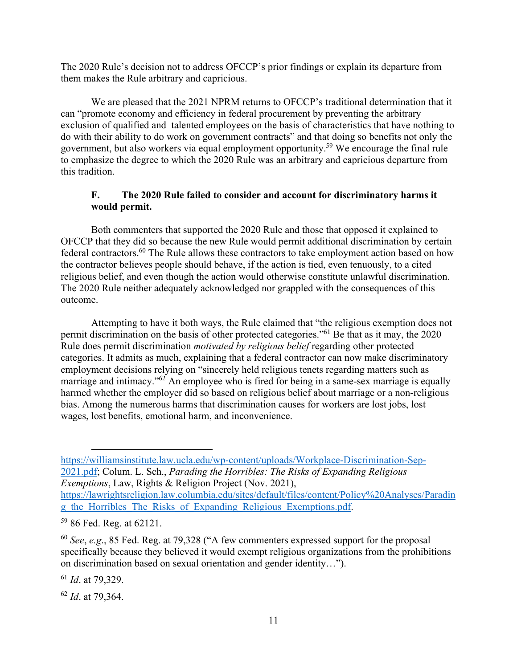The 2020 Rule's decision not to address OFCCP's prior findings or explain its departure from them makes the Rule arbitrary and capricious.

 We are pleased that the 2021 NPRM returns to OFCCP's traditional determination that it can "promote economy and efficiency in federal procurement by preventing the arbitrary exclusion of qualified and talented employees on the basis of characteristics that have nothing to do with their ability to do work on government contracts" and that doing so benefits not only the government, but also workers via equal employment opportunity.59 We encourage the final rule to emphasize the degree to which the 2020 Rule was an arbitrary and capricious departure from this tradition.

# **F. The 2020 Rule failed to consider and account for discriminatory harms it would permit.**

Both commenters that supported the 2020 Rule and those that opposed it explained to OFCCP that they did so because the new Rule would permit additional discrimination by certain federal contractors.60 The Rule allows these contractors to take employment action based on how the contractor believes people should behave, if the action is tied, even tenuously, to a cited religious belief, and even though the action would otherwise constitute unlawful discrimination. The 2020 Rule neither adequately acknowledged nor grappled with the consequences of this outcome.

Attempting to have it both ways, the Rule claimed that "the religious exemption does not permit discrimination on the basis of other protected categories."61 Be that as it may, the 2020 Rule does permit discrimination *motivated by religious belief* regarding other protected categories. It admits as much, explaining that a federal contractor can now make discriminatory employment decisions relying on "sincerely held religious tenets regarding matters such as marriage and intimacy."<sup>62</sup> An employee who is fired for being in a same-sex marriage is equally harmed whether the employer did so based on religious belief about marriage or a non-religious bias. Among the numerous harms that discrimination causes for workers are lost jobs, lost wages, lost benefits, emotional harm, and inconvenience.

<sup>61</sup> *Id*. at 79,329.

<sup>62</sup> *Id*. at 79,364.

https://williamsinstitute.law.ucla.edu/wp-content/uploads/Workplace-Discrimination-Sep-2021.pdf; Colum. L. Sch., *Parading the Horribles: The Risks of Expanding Religious Exemptions*, Law, Rights & Religion Project (Nov. 2021), https://lawrightsreligion.law.columbia.edu/sites/default/files/content/Policy%20Analyses/Paradin

g\_the\_Horribles\_The\_Risks\_of\_Expanding\_Religious\_Exemptions.pdf.

<sup>59 86</sup> Fed. Reg. at 62121.

<sup>60</sup> *See*, *e.g*., 85 Fed. Reg. at 79,328 ("A few commenters expressed support for the proposal specifically because they believed it would exempt religious organizations from the prohibitions on discrimination based on sexual orientation and gender identity…").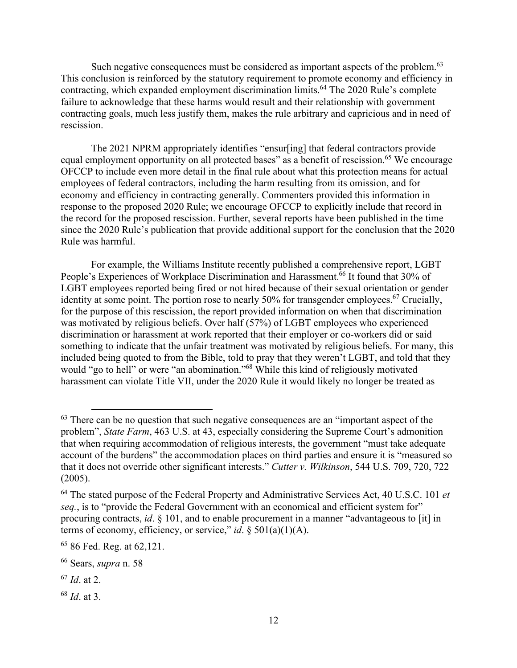Such negative consequences must be considered as important aspects of the problem.<sup>63</sup> This conclusion is reinforced by the statutory requirement to promote economy and efficiency in contracting, which expanded employment discrimination limits.<sup>64</sup> The 2020 Rule's complete failure to acknowledge that these harms would result and their relationship with government contracting goals, much less justify them, makes the rule arbitrary and capricious and in need of rescission.

The 2021 NPRM appropriately identifies "ensur[ing] that federal contractors provide equal employment opportunity on all protected bases" as a benefit of rescission.<sup>65</sup> We encourage OFCCP to include even more detail in the final rule about what this protection means for actual employees of federal contractors, including the harm resulting from its omission, and for economy and efficiency in contracting generally. Commenters provided this information in response to the proposed 2020 Rule; we encourage OFCCP to explicitly include that record in the record for the proposed rescission. Further, several reports have been published in the time since the 2020 Rule's publication that provide additional support for the conclusion that the 2020 Rule was harmful.

For example, the Williams Institute recently published a comprehensive report, LGBT People's Experiences of Workplace Discrimination and Harassment.<sup>66</sup> It found that 30% of LGBT employees reported being fired or not hired because of their sexual orientation or gender identity at some point. The portion rose to nearly 50% for transgender employees.<sup>67</sup> Crucially, for the purpose of this rescission, the report provided information on when that discrimination was motivated by religious beliefs. Over half (57%) of LGBT employees who experienced discrimination or harassment at work reported that their employer or co-workers did or said something to indicate that the unfair treatment was motivated by religious beliefs. For many, this included being quoted to from the Bible, told to pray that they weren't LGBT, and told that they would "go to hell" or were "an abomination."<sup>68</sup> While this kind of religiously motivated harassment can violate Title VII, under the 2020 Rule it would likely no longer be treated as

 $63$  There can be no question that such negative consequences are an "important aspect of the problem", *State Farm*, 463 U.S. at 43, especially considering the Supreme Court's admonition that when requiring accommodation of religious interests, the government "must take adequate account of the burdens" the accommodation places on third parties and ensure it is "measured so that it does not override other significant interests." *Cutter v. Wilkinson*, 544 U.S. 709, 720, 722 (2005).

<sup>64</sup> The stated purpose of the Federal Property and Administrative Services Act, 40 U.S.C. 101 *et seq.*, is to "provide the Federal Government with an economical and efficient system for" procuring contracts, *id*. § 101, and to enable procurement in a manner "advantageous to [it] in terms of economy, efficiency, or service," *id*. § 501(a)(1)(A).

<sup>65 86</sup> Fed. Reg. at 62,121.

<sup>66</sup> Sears, *supra* n. 58

<sup>67</sup> *Id*. at 2.

<sup>68</sup> *Id*. at 3.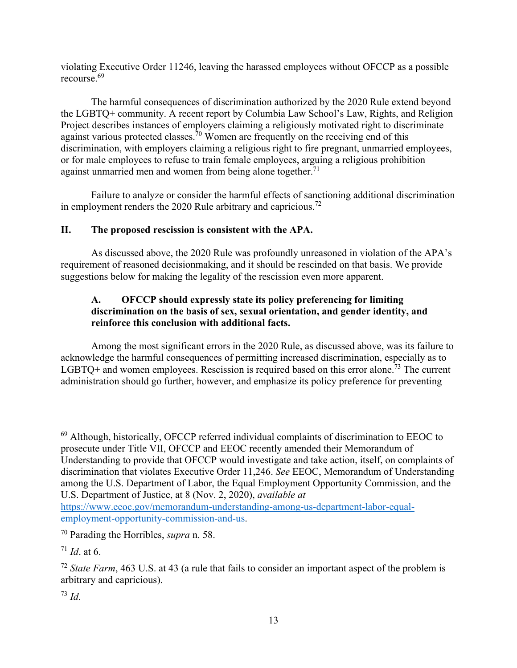violating Executive Order 11246, leaving the harassed employees without OFCCP as a possible recourse.69

The harmful consequences of discrimination authorized by the 2020 Rule extend beyond the LGBTQ+ community. A recent report by Columbia Law School's Law, Rights, and Religion Project describes instances of employers claiming a religiously motivated right to discriminate against various protected classes.<sup>70</sup> Women are frequently on the receiving end of this discrimination, with employers claiming a religious right to fire pregnant, unmarried employees, or for male employees to refuse to train female employees, arguing a religious prohibition against unmarried men and women from being alone together. $71$ 

Failure to analyze or consider the harmful effects of sanctioning additional discrimination in employment renders the 2020 Rule arbitrary and capricious.<sup>72</sup>

# **II. The proposed rescission is consistent with the APA.**

As discussed above, the 2020 Rule was profoundly unreasoned in violation of the APA's requirement of reasoned decisionmaking, and it should be rescinded on that basis. We provide suggestions below for making the legality of the rescission even more apparent.

# **A. OFCCP should expressly state its policy preferencing for limiting discrimination on the basis of sex, sexual orientation, and gender identity, and reinforce this conclusion with additional facts.**

Among the most significant errors in the 2020 Rule, as discussed above, was its failure to acknowledge the harmful consequences of permitting increased discrimination, especially as to LGBTQ+ and women employees. Rescission is required based on this error alone.<sup>73</sup> The current administration should go further, however, and emphasize its policy preference for preventing

 $69$  Although, historically, OFCCP referred individual complaints of discrimination to EEOC to prosecute under Title VII, OFCCP and EEOC recently amended their Memorandum of Understanding to provide that OFCCP would investigate and take action, itself, on complaints of discrimination that violates Executive Order 11,246. *See* EEOC, Memorandum of Understanding among the U.S. Department of Labor, the Equal Employment Opportunity Commission, and the U.S. Department of Justice, at 8 (Nov. 2, 2020), *available at* 

https://www.eeoc.gov/memorandum-understanding-among-us-department-labor-equalemployment-opportunity-commission-and-us.

<sup>70</sup> Parading the Horribles, *supra* n. 58.

 $71$  *Id.* at 6.

<sup>&</sup>lt;sup>72</sup> *State Farm*, 463 U.S. at 43 (a rule that fails to consider an important aspect of the problem is arbitrary and capricious).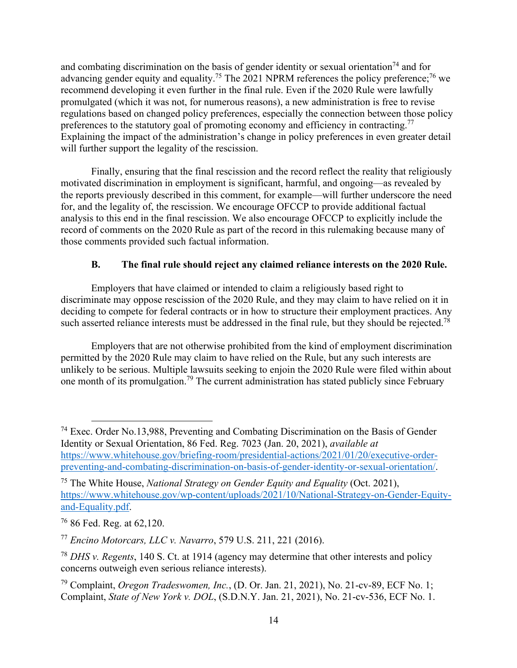and combating discrimination on the basis of gender identity or sexual orientation<sup>74</sup> and for advancing gender equity and equality.<sup>75</sup> The 2021 NPRM references the policy preference;<sup>76</sup> we recommend developing it even further in the final rule. Even if the 2020 Rule were lawfully promulgated (which it was not, for numerous reasons), a new administration is free to revise regulations based on changed policy preferences, especially the connection between those policy preferences to the statutory goal of promoting economy and efficiency in contracting.<sup>77</sup> Explaining the impact of the administration's change in policy preferences in even greater detail will further support the legality of the rescission.

Finally, ensuring that the final rescission and the record reflect the reality that religiously motivated discrimination in employment is significant, harmful, and ongoing—as revealed by the reports previously described in this comment, for example—will further underscore the need for, and the legality of, the rescission. We encourage OFCCP to provide additional factual analysis to this end in the final rescission. We also encourage OFCCP to explicitly include the record of comments on the 2020 Rule as part of the record in this rulemaking because many of those comments provided such factual information.

# **B. The final rule should reject any claimed reliance interests on the 2020 Rule.**

Employers that have claimed or intended to claim a religiously based right to discriminate may oppose rescission of the 2020 Rule, and they may claim to have relied on it in deciding to compete for federal contracts or in how to structure their employment practices. Any such asserted reliance interests must be addressed in the final rule, but they should be rejected.<sup>78</sup>

 Employers that are not otherwise prohibited from the kind of employment discrimination permitted by the 2020 Rule may claim to have relied on the Rule, but any such interests are unlikely to be serious. Multiple lawsuits seeking to enjoin the 2020 Rule were filed within about one month of its promulgation.79 The current administration has stated publicly since February

<sup>74</sup> Exec. Order No.13,988, Preventing and Combating Discrimination on the Basis of Gender Identity or Sexual Orientation, 86 Fed. Reg. 7023 (Jan. 20, 2021), *available at* https://www.whitehouse.gov/briefing-room/presidential-actions/2021/01/20/executive-orderpreventing-and-combating-discrimination-on-basis-of-gender-identity-or-sexual-orientation/.

<sup>75</sup> The White House, *National Strategy on Gender Equity and Equality* (Oct. 2021), https://www.whitehouse.gov/wp-content/uploads/2021/10/National-Strategy-on-Gender-Equityand-Equality.pdf.

<sup>76 86</sup> Fed. Reg. at 62,120.

<sup>77</sup> *Encino Motorcars, LLC v. Navarro*, 579 U.S. 211, 221 (2016).

<sup>78</sup> *DHS v. Regents*, 140 S. Ct. at 1914 (agency may determine that other interests and policy concerns outweigh even serious reliance interests).

<sup>79</sup> Complaint, *Oregon Tradeswomen, Inc.*, (D. Or. Jan. 21, 2021), No. 21-cv-89, ECF No. 1; Complaint, *State of New York v. DOL*, (S.D.N.Y. Jan. 21, 2021), No. 21-cv-536, ECF No. 1.